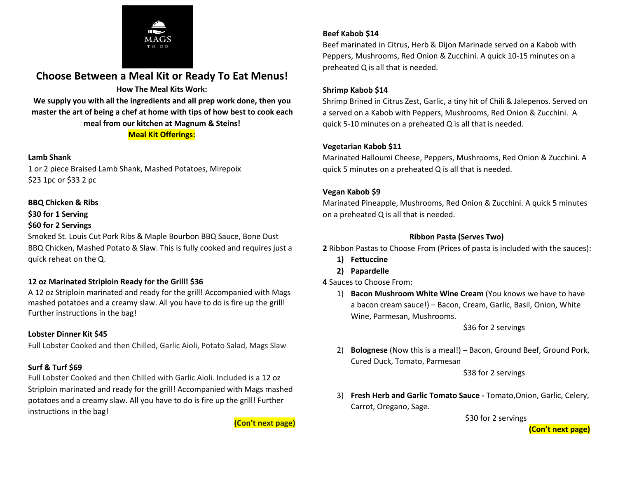

# **Choose Between a Meal Kit or Ready To Eat Menus!**

#### **How The Meal Kits Work:**

**We supply you with all the ingredients and all prep work done, then you master the art of being a chef at home with tips of how best to cook each meal from our kitchen at Magnum & Steins! Meal Kit Offerings:**

#### **Lamb Shank**

1 or 2 piece Braised Lamb Shank, Mashed Potatoes, Mirepoix \$23 1pc or \$33 2 pc

#### **BBQ Chicken & Ribs**

**\$30 for 1 Serving**

#### **\$60 for 2 Servings**

Smoked St. Louis Cut Pork Ribs & Maple Bourbon BBQ Sauce, Bone Dust BBQ Chicken, Mashed Potato & Slaw. This is fully cooked and requires just a quick reheat on the Q.

## **12 oz Marinated Striploin Ready for the Grill! \$36**

A 12 oz Striploin marinated and ready for the grill! Accompanied with Mags mashed potatoes and a creamy slaw. All you have to do is fire up the grill! Further instructions in the bag!

### **Lobster Dinner Kit \$45**

Full Lobster Cooked and then Chilled, Garlic Aioli, Potato Salad, Mags Slaw

### **Surf & Turf \$69**

Full Lobster Cooked and then Chilled with Garlic Aioli. Included is a 12 oz Striploin marinated and ready for the grill! Accompanied with Mags mashed potatoes and a creamy slaw. All you have to do is fire up the grill! Further instructions in the bag!

**(Con't next page)**

## **Beef Kabob \$14**

Beef marinated in Citrus, Herb & Dijon Marinade served on a Kabob with Peppers, Mushrooms, Red Onion & Zucchini. A quick 10-15 minutes on a preheated Q is all that is needed.

#### **Shrimp Kabob \$14**

Shrimp Brined in Citrus Zest, Garlic, a tiny hit of Chili & Jalepenos. Served on a served on a Kabob with Peppers, Mushrooms, Red Onion & Zucchini. A quick 5-10 minutes on a preheated Q is all that is needed.

### **Vegetarian Kabob \$11**

Marinated Halloumi Cheese, Peppers, Mushrooms, Red Onion & Zucchini. A quick 5 minutes on a preheated Q is all that is needed.

### **Vegan Kabob \$9**

Marinated Pineapple, Mushrooms, Red Onion & Zucchini. A quick5 minutes on a preheated Q is all that is needed.

#### **Ribbon Pasta (Serves Two)**

**2** Ribbon Pastas to Choose From (Prices of pasta is included with the sauces):

- **1) Fettuccine**
- **2) Papardelle**
- **4** Sauces to Choose From:
	- 1) **Bacon Mushroom White Wine Cream** (You knows we have to have a bacon cream sauce!) – Bacon, Cream, Garlic, Basil, Onion, White Wine, Parmesan, Mushrooms.

\$36 for 2 servings

2) **Bolognese** (Now this is a meal!) – Bacon, Ground Beef, Ground Pork, Cured Duck, Tomato, Parmesan

\$38 for 2 servings

3) **Fresh Herb and Garlic Tomato Sauce -** Tomato,Onion, Garlic, Celery, Carrot, Oregano, Sage.

\$30 for 2 servings

**(Con't next page)**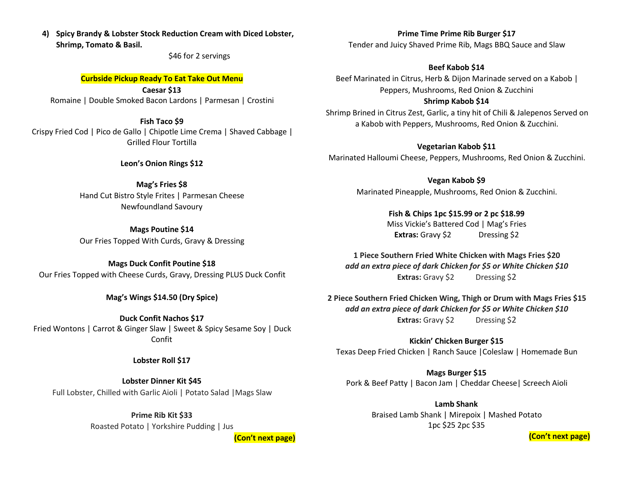**4) Spicy Brandy & Lobster Stock Reduction Cream with Diced Lobster, Shrimp, Tomato & Basil.**

\$46 for 2 servings

#### **Curbside Pickup Ready To Eat Take Out Menu**

**Caesar \$13** Romaine |Double Smoked Bacon Lardons | Parmesan | Crostini

**Fish Taco \$9** Crispy Fried Cod | Pico de Gallo | Chipotle Lime Crema | Shaved Cabbage | Grilled Flour Tortilla

**Leon's Onion Rings \$12**

**Mag's Fries \$8** Hand Cut Bistro Style Frites | Parmesan Cheese Newfoundland Savoury

**Mags Poutine \$14** Our Fries Topped With Curds, Gravy & Dressing

#### **Mags Duck Confit Poutine \$18**

Our Fries Topped with Cheese Curds, Gravy, Dressing PLUS Duck Confit

**Mag's Wings \$14.50 (Dry Spice)**

**Duck Confit Nachos \$17** Fried Wontons | Carrot & Ginger Slaw | Sweet & Spicy Sesame Soy | Duck Confit

**Lobster Roll \$17**

**Lobster Dinner Kit \$45** Full Lobster, Chilled with Garlic Aioli | Potato Salad |Mags Slaw

> **Prime Rib Kit \$33** Roasted Potato | Yorkshire Pudding | Jus

> > **(Con't next page)**

**Prime Time Prime Rib Burger \$17** Tender and Juicy Shaved Prime Rib, Mags BBQ Sauce and Slaw

**Beef Kabob \$14**

Beef Marinated in Citrus, Herb & Dijon Marinade served on a Kabob | Peppers, Mushrooms, Red Onion & Zucchini **Shrimp Kabob \$14**

Shrimp Brined in Citrus Zest, Garlic, a tiny hit of Chili & Jalepenos Served on a Kabob with Peppers, Mushrooms, Red Onion & Zucchini.

**Vegetarian Kabob \$11** Marinated Halloumi Cheese, Peppers, Mushrooms, Red Onion & Zucchini.

> **Vegan Kabob \$9** Marinated Pineapple, Mushrooms, Red Onion & Zucchini.

> > **Fish & Chips 1pc \$15.99 or 2 pc \$18.99** Miss Vickie's Battered Cod | Mag's Fries **Extras:** Gravy \$2 Dressing \$2

**1 Piece Southern Fried White Chicken with Mags Fries \$20** *add an extra piece of dark Chicken for \$5 or White Chicken \$10* **Extras:** Gravy \$2 Dressing \$2

**2 Piece Southern Fried Chicken Wing, Thigh or Drum with Mags Fries \$15** *add an extra piece of dark Chicken for \$5 or White Chicken \$10* **Extras:** Gravy \$2 Dressing \$2

**Kickin' Chicken Burger \$15** Texas Deep Fried Chicken | Ranch Sauce |Coleslaw | Homemade Bun

**Mags Burger \$15** Pork & Beef Patty | Bacon Jam | Cheddar Cheese | Screech Aioli

> **Lamb Shank** Braised Lamb Shank | Mirepoix | Mashed Potato 1pc \$25 2pc \$35

> > **(Con't next page)**